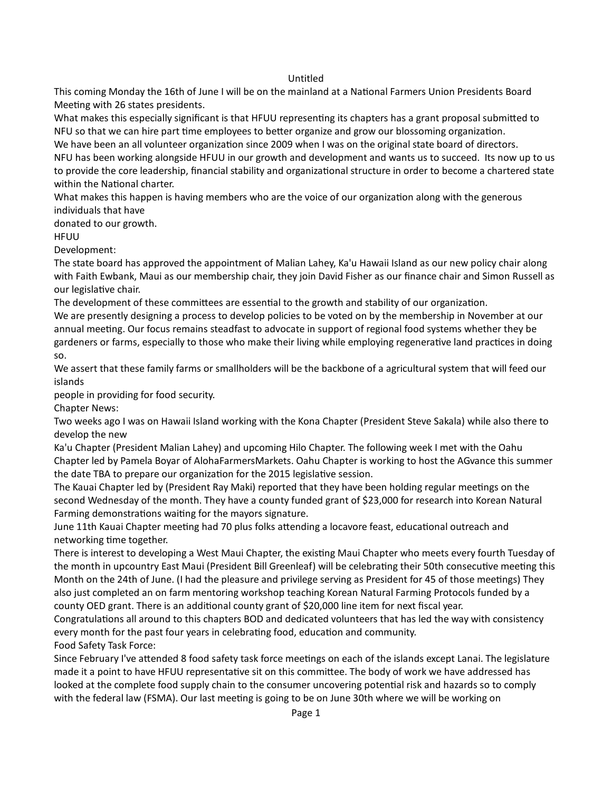## Untitled

This coming Monday the 16th of June I will be on the mainland at a National Farmers Union Presidents Board Meeting with 26 states presidents.

What makes this especially significant is that HFUU representing its chapters has a grant proposal submitted to NFU so that we can hire part time employees to better organize and grow our blossoming organization.

We have been an all volunteer organization since 2009 when I was on the original state board of directors. NFU has been working alongside HFUU in our growth and development and wants us to succeed. Its now up to us to provide the core leadership, financial stability and organizational structure in order to become a chartered state within the National charter.

What makes this happen is having members who are the voice of our organization along with the generous individuals that have

donated to our growth.

HFUU

Development:

The state board has approved the appointment of Malian Lahey, Ka'u Hawaii Island as our new policy chair along with Faith Ewbank, Maui as our membership chair, they join David Fisher as our finance chair and Simon Russell as our legislative chair.

The development of these committees are essential to the growth and stability of our organization.

We are presently designing a process to develop policies to be voted on by the membership in November at our annual meeting. Our focus remains steadfast to advocate in support of regional food systems whether they be gardeners or farms, especially to those who make their living while employing regenerative land practices in doing so.

We assert that these family farms or smallholders will be the backbone of a agricultural system that will feed our islands

people in providing for food security.

Chapter News:

Two weeks ago I was on Hawaii Island working with the Kona Chapter (President Steve Sakala) while also there to develop the new

Ka'u Chapter (President Malian Lahey) and upcoming Hilo Chapter. The following week I met with the Oahu Chapter led by Pamela Boyar of AlohaFarmersMarkets. Oahu Chapter is working to host the AGvance this summer the date TBA to prepare our organization for the 2015 legislative session.

The Kauai Chapter led by (President Ray Maki) reported that they have been holding regular meetings on the second Wednesday of the month. They have a county funded grant of \$23,000 for research into Korean Natural Farming demonstrations waiting for the mayors signature.

June 11th Kauai Chapter meeting had 70 plus folks attending a locavore feast, educational outreach and networking time together.

There is interest to developing a West Maui Chapter, the existing Maui Chapter who meets every fourth Tuesday of the month in upcountry East Maui (President Bill Greenleaf) will be celebrating their 50th consecutive meeting this Month on the 24th of June. (I had the pleasure and privilege serving as President for 45 of those meetings) They also just completed an on farm mentoring workshop teaching Korean Natural Farming Protocols funded by a county OED grant. There is an additional county grant of \$20,000 line item for next fiscal year.

Congratulations all around to this chapters BOD and dedicated volunteers that has led the way with consistency every month for the past four years in celebrating food, education and community. Food Safety Task Force:

Since February I've attended 8 food safety task force meetings on each of the islands except Lanai. The legislature made it a point to have HFUU representative sit on this committee. The body of work we have addressed has looked at the complete food supply chain to the consumer uncovering potential risk and hazards so to comply with the federal law (FSMA). Our last meeting is going to be on June 30th where we will be working on